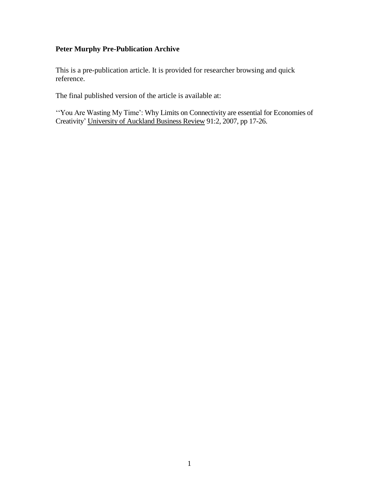# **Peter Murphy Pre-Publication Archive**

This is a pre-publication article. It is provided for researcher browsing and quick reference.

The final published version of the article is available at:

''You Are Wasting My Time': Why Limits on Connectivity are essential for Economies of Creativity' University of Auckland Business Review 91:2, 2007, pp 17-26.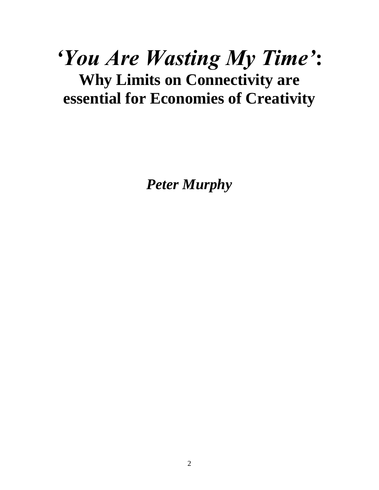# *'You Are Wasting My Time'***: Why Limits on Connectivity are essential for Economies of Creativity**

*Peter Murphy*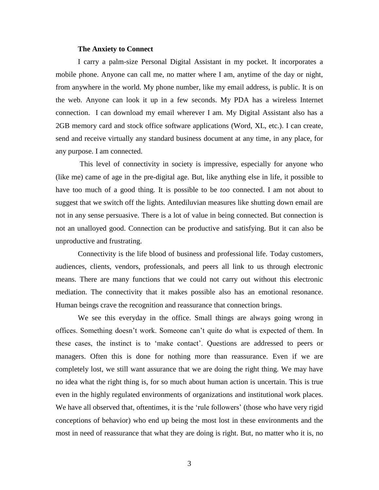### **The Anxiety to Connect**

I carry a palm-size Personal Digital Assistant in my pocket. It incorporates a mobile phone. Anyone can call me, no matter where I am, anytime of the day or night, from anywhere in the world. My phone number, like my email address, is public. It is on the web. Anyone can look it up in a few seconds. My PDA has a wireless Internet connection. I can download my email wherever I am. My Digital Assistant also has a 2GB memory card and stock office software applications (Word, XL, etc.). I can create, send and receive virtually any standard business document at any time, in any place, for any purpose. I am connected.

This level of connectivity in society is impressive, especially for anyone who (like me) came of age in the pre-digital age. But, like anything else in life, it possible to have too much of a good thing. It is possible to be *too* connected. I am not about to suggest that we switch off the lights. Antediluvian measures like shutting down email are not in any sense persuasive. There is a lot of value in being connected. But connection is not an unalloyed good. Connection can be productive and satisfying. But it can also be unproductive and frustrating.

Connectivity is the life blood of business and professional life. Today customers, audiences, clients, vendors, professionals, and peers all link to us through electronic means. There are many functions that we could not carry out without this electronic mediation. The connectivity that it makes possible also has an emotional resonance. Human beings crave the recognition and reassurance that connection brings.

We see this everyday in the office. Small things are always going wrong in offices. Something doesn't work. Someone can't quite do what is expected of them. In these cases, the instinct is to 'make contact'. Questions are addressed to peers or managers. Often this is done for nothing more than reassurance. Even if we are completely lost, we still want assurance that we are doing the right thing. We may have no idea what the right thing is, for so much about human action is uncertain. This is true even in the highly regulated environments of organizations and institutional work places. We have all observed that, oftentimes, it is the 'rule followers' (those who have very rigid conceptions of behavior) who end up being the most lost in these environments and the most in need of reassurance that what they are doing is right. But, no matter who it is, no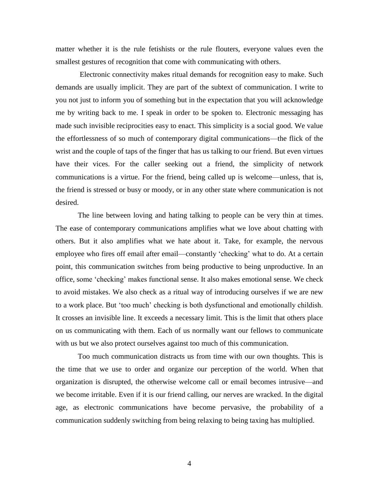matter whether it is the rule fetishists or the rule flouters, everyone values even the smallest gestures of recognition that come with communicating with others.

Electronic connectivity makes ritual demands for recognition easy to make. Such demands are usually implicit. They are part of the subtext of communication. I write to you not just to inform you of something but in the expectation that you will acknowledge me by writing back to me. I speak in order to be spoken to. Electronic messaging has made such invisible reciprocities easy to enact. This simplicity is a social good. We value the effortlessness of so much of contemporary digital communications—the flick of the wrist and the couple of taps of the finger that has us talking to our friend. But even virtues have their vices. For the caller seeking out a friend, the simplicity of network communications is a virtue. For the friend, being called up is welcome—unless, that is, the friend is stressed or busy or moody, or in any other state where communication is not desired.

The line between loving and hating talking to people can be very thin at times. The ease of contemporary communications amplifies what we love about chatting with others. But it also amplifies what we hate about it. Take, for example, the nervous employee who fires off email after email—constantly 'checking' what to do. At a certain point, this communication switches from being productive to being unproductive. In an office, some 'checking' makes functional sense. It also makes emotional sense. We check to avoid mistakes. We also check as a ritual way of introducing ourselves if we are new to a work place. But 'too much' checking is both dysfunctional and emotionally childish. It crosses an invisible line. It exceeds a necessary limit. This is the limit that others place on us communicating with them. Each of us normally want our fellows to communicate with us but we also protect ourselves against too much of this communication.

Too much communication distracts us from time with our own thoughts. This is the time that we use to order and organize our perception of the world. When that organization is disrupted, the otherwise welcome call or email becomes intrusive—and we become irritable. Even if it is our friend calling, our nerves are wracked. In the digital age, as electronic communications have become pervasive, the probability of a communication suddenly switching from being relaxing to being taxing has multiplied.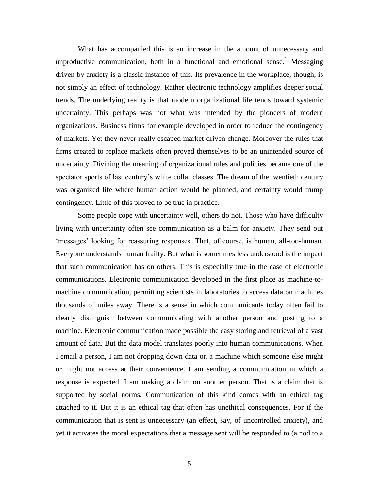What has accompanied this is an increase in the amount of unnecessary and unproductive communication, both in a functional and emotional sense.<sup>1</sup> Messaging driven by anxiety is a classic instance of this. Its prevalence in the workplace, though, is not simply an effect of technology. Rather electronic technology amplifies deeper social trends. The underlying reality is that modern organizational life tends toward systemic uncertainty. This perhaps was not what was intended by the pioneers of modern organizations. Business firms for example developed in order to reduce the contingency of markets. Yet they never really escaped market-driven change. Moreover the rules that firms created to replace markets often proved themselves to be an unintended source of uncertainty. Divining the meaning of organizational rules and policies became one of the spectator sports of last century's white collar classes. The dream of the twentieth century was organized life where human action would be planned, and certainty would trump contingency. Little of this proved to be true in practice.

Some people cope with uncertainty well, others do not. Those who have difficulty living with uncertainty often see communication as a balm for anxiety. They send out 'messages' looking for reassuring responses. That, of course, is human, all-too-human. Everyone understands human frailty. But what is sometimes less understood is the impact that such communication has on others. This is especially true in the case of electronic communications. Electronic communication developed in the first place as machine-tomachine communication, permitting scientists in laboratories to access data on machines thousands of miles away. There is a sense in which communicants today often fail to clearly distinguish between communicating with another person and posting to a machine. Electronic communication made possible the easy storing and retrieval of a vast amount of data. But the data model translates poorly into human communications. When I email a person, I am not dropping down data on a machine which someone else might or might not access at their convenience. I am sending a communication in which a response is expected. I am making a claim on another person. That is a claim that is supported by social norms. Communication of this kind comes with an ethical tag attached to it. But it is an ethical tag that often has unethical consequences. For if the communication that is sent is unnecessary (an effect, say, of uncontrolled anxiety), and yet it activates the moral expectations that a message sent will be responded to (a nod to a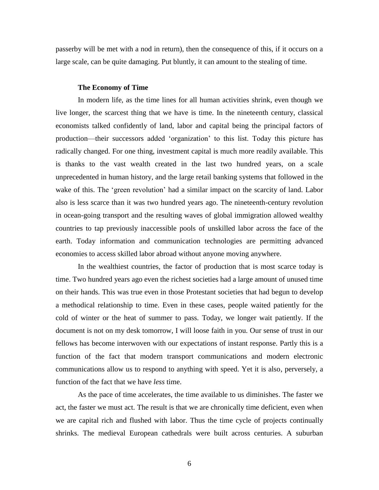passerby will be met with a nod in return), then the consequence of this, if it occurs on a large scale, can be quite damaging. Put bluntly, it can amount to the stealing of time.

#### **The Economy of Time**

In modern life, as the time lines for all human activities shrink, even though we live longer, the scarcest thing that we have is time. In the nineteenth century, classical economists talked confidently of land, labor and capital being the principal factors of production—their successors added 'organization' to this list. Today this picture has radically changed. For one thing, investment capital is much more readily available. This is thanks to the vast wealth created in the last two hundred years, on a scale unprecedented in human history, and the large retail banking systems that followed in the wake of this. The 'green revolution' had a similar impact on the scarcity of land. Labor also is less scarce than it was two hundred years ago. The nineteenth-century revolution in ocean-going transport and the resulting waves of global immigration allowed wealthy countries to tap previously inaccessible pools of unskilled labor across the face of the earth. Today information and communication technologies are permitting advanced economies to access skilled labor abroad without anyone moving anywhere.

In the wealthiest countries, the factor of production that is most scarce today is time. Two hundred years ago even the richest societies had a large amount of unused time on their hands. This was true even in those Protestant societies that had begun to develop a methodical relationship to time. Even in these cases, people waited patiently for the cold of winter or the heat of summer to pass. Today, we longer wait patiently. If the document is not on my desk tomorrow, I will loose faith in you. Our sense of trust in our fellows has become interwoven with our expectations of instant response. Partly this is a function of the fact that modern transport communications and modern electronic communications allow us to respond to anything with speed. Yet it is also, perversely, a function of the fact that we have *less* time.

As the pace of time accelerates, the time available to us diminishes. The faster we act, the faster we must act. The result is that we are chronically time deficient, even when we are capital rich and flushed with labor. Thus the time cycle of projects continually shrinks. The medieval European cathedrals were built across centuries. A suburban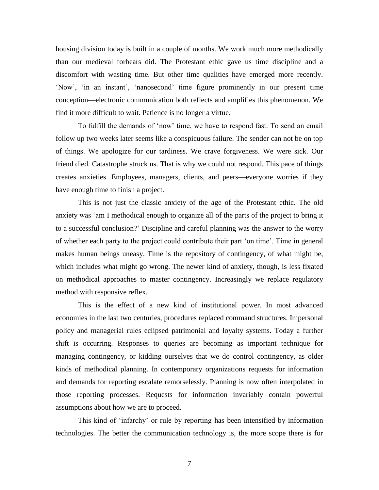housing division today is built in a couple of months. We work much more methodically than our medieval forbears did. The Protestant ethic gave us time discipline and a discomfort with wasting time. But other time qualities have emerged more recently. 'Now', 'in an instant', 'nanosecond' time figure prominently in our present time conception—electronic communication both reflects and amplifies this phenomenon. We find it more difficult to wait. Patience is no longer a virtue.

To fulfill the demands of 'now' time, we have to respond fast. To send an email follow up two weeks later seems like a conspicuous failure. The sender can not be on top of things. We apologize for our tardiness. We crave forgiveness. We were sick. Our friend died. Catastrophe struck us. That is why we could not respond. This pace of things creates anxieties. Employees, managers, clients, and peers—everyone worries if they have enough time to finish a project.

This is not just the classic anxiety of the age of the Protestant ethic. The old anxiety was 'am I methodical enough to organize all of the parts of the project to bring it to a successful conclusion?' Discipline and careful planning was the answer to the worry of whether each party to the project could contribute their part 'on time'. Time in general makes human beings uneasy. Time is the repository of contingency, of what might be, which includes what might go wrong. The newer kind of anxiety, though, is less fixated on methodical approaches to master contingency. Increasingly we replace regulatory method with responsive reflex.

This is the effect of a new kind of institutional power. In most advanced economies in the last two centuries, procedures replaced command structures. Impersonal policy and managerial rules eclipsed patrimonial and loyalty systems. Today a further shift is occurring. Responses to queries are becoming as important technique for managing contingency, or kidding ourselves that we do control contingency, as older kinds of methodical planning. In contemporary organizations requests for information and demands for reporting escalate remorselessly. Planning is now often interpolated in those reporting processes. Requests for information invariably contain powerful assumptions about how we are to proceed.

This kind of 'infarchy' or rule by reporting has been intensified by information technologies. The better the communication technology is, the more scope there is for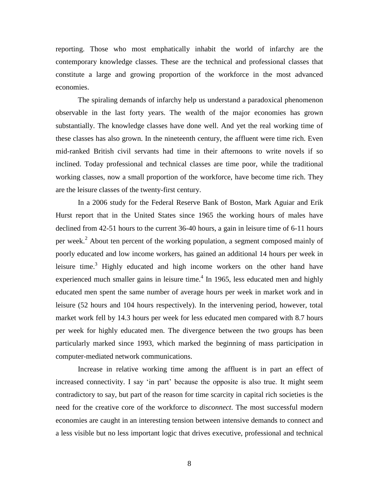reporting. Those who most emphatically inhabit the world of infarchy are the contemporary knowledge classes. These are the technical and professional classes that constitute a large and growing proportion of the workforce in the most advanced economies.

The spiraling demands of infarchy help us understand a paradoxical phenomenon observable in the last forty years. The wealth of the major economies has grown substantially. The knowledge classes have done well. And yet the real working time of these classes has also grown. In the nineteenth century, the affluent were time rich. Even mid-ranked British civil servants had time in their afternoons to write novels if so inclined. Today professional and technical classes are time poor, while the traditional working classes, now a small proportion of the workforce, have become time rich. They are the leisure classes of the twenty-first century.

In a 2006 study for the Federal Reserve Bank of Boston, Mark Aguiar and Erik Hurst report that in the United States since 1965 the working hours of males have declined from 42-51 hours to the current 36-40 hours, a gain in leisure time of 6-11 hours per week.<sup>2</sup> About ten percent of the working population, a segment composed mainly of poorly educated and low income workers, has gained an additional 14 hours per week in leisure time.<sup>3</sup> Highly educated and high income workers on the other hand have experienced much smaller gains in leisure time. $4$  In 1965, less educated men and highly educated men spent the same number of average hours per week in market work and in leisure (52 hours and 104 hours respectively). In the intervening period, however, total market work fell by 14.3 hours per week for less educated men compared with 8.7 hours per week for highly educated men. The divergence between the two groups has been particularly marked since 1993, which marked the beginning of mass participation in computer-mediated network communications.

Increase in relative working time among the affluent is in part an effect of increased connectivity. I say 'in part' because the opposite is also true. It might seem contradictory to say, but part of the reason for time scarcity in capital rich societies is the need for the creative core of the workforce to *disconnect*. The most successful modern economies are caught in an interesting tension between intensive demands to connect and a less visible but no less important logic that drives executive, professional and technical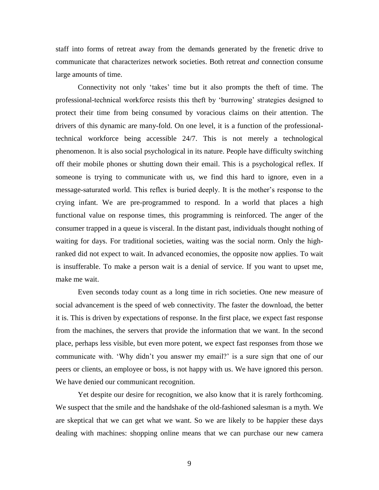staff into forms of retreat away from the demands generated by the frenetic drive to communicate that characterizes network societies. Both retreat *and* connection consume large amounts of time.

Connectivity not only 'takes' time but it also prompts the theft of time. The professional-technical workforce resists this theft by 'burrowing' strategies designed to protect their time from being consumed by voracious claims on their attention. The drivers of this dynamic are many-fold. On one level, it is a function of the professionaltechnical workforce being accessible 24/7. This is not merely a technological phenomenon. It is also social psychological in its nature. People have difficulty switching off their mobile phones or shutting down their email. This is a psychological reflex. If someone is trying to communicate with us, we find this hard to ignore, even in a message-saturated world. This reflex is buried deeply. It is the mother's response to the crying infant. We are pre-programmed to respond. In a world that places a high functional value on response times, this programming is reinforced. The anger of the consumer trapped in a queue is visceral. In the distant past, individuals thought nothing of waiting for days. For traditional societies, waiting was the social norm. Only the highranked did not expect to wait. In advanced economies, the opposite now applies. To wait is insufferable. To make a person wait is a denial of service. If you want to upset me, make me wait.

Even seconds today count as a long time in rich societies. One new measure of social advancement is the speed of web connectivity. The faster the download, the better it is. This is driven by expectations of response. In the first place, we expect fast response from the machines, the servers that provide the information that we want. In the second place, perhaps less visible, but even more potent, we expect fast responses from those we communicate with. 'Why didn't you answer my email?' is a sure sign that one of our peers or clients, an employee or boss, is not happy with us. We have ignored this person. We have denied our communicant recognition.

Yet despite our desire for recognition, we also know that it is rarely forthcoming. We suspect that the smile and the handshake of the old-fashioned salesman is a myth. We are skeptical that we can get what we want. So we are likely to be happier these days dealing with machines: shopping online means that we can purchase our new camera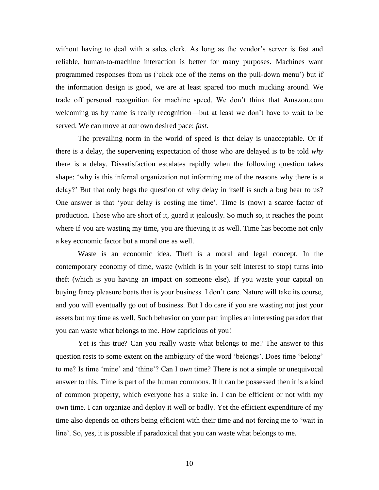without having to deal with a sales clerk. As long as the vendor's server is fast and reliable, human-to-machine interaction is better for many purposes. Machines want programmed responses from us ('click one of the items on the pull-down menu') but if the information design is good, we are at least spared too much mucking around. We trade off personal recognition for machine speed. We don't think that Amazon.com welcoming us by name is really recognition—but at least we don't have to wait to be served. We can move at our own desired pace: *fast*.

The prevailing norm in the world of speed is that delay is unacceptable. Or if there is a delay, the supervening expectation of those who are delayed is to be told *why* there is a delay. Dissatisfaction escalates rapidly when the following question takes shape: 'why is this infernal organization not informing me of the reasons why there is a delay?' But that only begs the question of why delay in itself is such a bug bear to us? One answer is that 'your delay is costing me time'. Time is (now) a scarce factor of production. Those who are short of it, guard it jealously. So much so, it reaches the point where if you are wasting my time, you are thieving it as well. Time has become not only a key economic factor but a moral one as well.

Waste is an economic idea. Theft is a moral and legal concept. In the contemporary economy of time, waste (which is in your self interest to stop) turns into theft (which is you having an impact on someone else). If you waste your capital on buying fancy pleasure boats that is your business. I don't care. Nature will take its course, and you will eventually go out of business. But I do care if you are wasting not just your assets but my time as well. Such behavior on your part implies an interesting paradox that you can waste what belongs to me. How capricious of you!

Yet is this true? Can you really waste what belongs to me? The answer to this question rests to some extent on the ambiguity of the word 'belongs'. Does time 'belong' to me? Is time 'mine' and 'thine'? Can I *own* time? There is not a simple or unequivocal answer to this. Time is part of the human commons. If it can be possessed then it is a kind of common property, which everyone has a stake in. I can be efficient or not with my own time. I can organize and deploy it well or badly. Yet the efficient expenditure of my time also depends on others being efficient with their time and not forcing me to 'wait in line'. So, yes, it is possible if paradoxical that you can waste what belongs to me.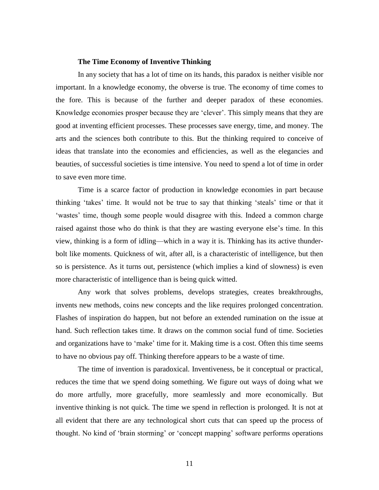#### **The Time Economy of Inventive Thinking**

In any society that has a lot of time on its hands, this paradox is neither visible nor important. In a knowledge economy, the obverse is true. The economy of time comes to the fore. This is because of the further and deeper paradox of these economies. Knowledge economies prosper because they are 'clever'. This simply means that they are good at inventing efficient processes. These processes save energy, time, and money. The arts and the sciences both contribute to this. But the thinking required to conceive of ideas that translate into the economies and efficiencies, as well as the elegancies and beauties, of successful societies is time intensive. You need to spend a lot of time in order to save even more time.

Time is a scarce factor of production in knowledge economies in part because thinking 'takes' time. It would not be true to say that thinking 'steals' time or that it 'wastes' time, though some people would disagree with this. Indeed a common charge raised against those who do think is that they are wasting everyone else's time. In this view, thinking is a form of idling—which in a way it is. Thinking has its active thunderbolt like moments. Quickness of wit, after all, is a characteristic of intelligence, but then so is persistence. As it turns out, persistence (which implies a kind of slowness) is even more characteristic of intelligence than is being quick witted.

Any work that solves problems, develops strategies, creates breakthroughs, invents new methods, coins new concepts and the like requires prolonged concentration. Flashes of inspiration do happen, but not before an extended rumination on the issue at hand. Such reflection takes time. It draws on the common social fund of time. Societies and organizations have to 'make' time for it. Making time is a cost. Often this time seems to have no obvious pay off. Thinking therefore appears to be a waste of time.

The time of invention is paradoxical. Inventiveness, be it conceptual or practical, reduces the time that we spend doing something. We figure out ways of doing what we do more artfully, more gracefully, more seamlessly and more economically. But inventive thinking is not quick. The time we spend in reflection is prolonged. It is not at all evident that there are any technological short cuts that can speed up the process of thought. No kind of 'brain storming' or 'concept mapping' software performs operations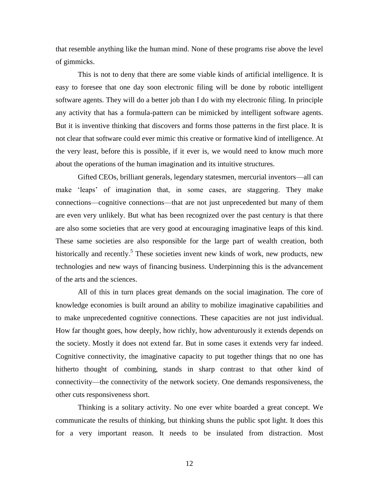that resemble anything like the human mind. None of these programs rise above the level of gimmicks.

This is not to deny that there are some viable kinds of artificial intelligence. It is easy to foresee that one day soon electronic filing will be done by robotic intelligent software agents. They will do a better job than I do with my electronic filing. In principle any activity that has a formula-pattern can be mimicked by intelligent software agents. But it is inventive thinking that discovers and forms those patterns in the first place. It is not clear that software could ever mimic this creative or formative kind of intelligence. At the very least, before this is possible, if it ever is, we would need to know much more about the operations of the human imagination and its intuitive structures.

Gifted CEOs, brilliant generals, legendary statesmen, mercurial inventors—all can make 'leaps' of imagination that, in some cases, are staggering. They make connections—cognitive connections—that are not just unprecedented but many of them are even very unlikely. But what has been recognized over the past century is that there are also some societies that are very good at encouraging imaginative leaps of this kind. These same societies are also responsible for the large part of wealth creation, both historically and recently.<sup>5</sup> These societies invent new kinds of work, new products, new technologies and new ways of financing business. Underpinning this is the advancement of the arts and the sciences.

All of this in turn places great demands on the social imagination. The core of knowledge economies is built around an ability to mobilize imaginative capabilities and to make unprecedented cognitive connections. These capacities are not just individual. How far thought goes, how deeply, how richly, how adventurously it extends depends on the society. Mostly it does not extend far. But in some cases it extends very far indeed. Cognitive connectivity, the imaginative capacity to put together things that no one has hitherto thought of combining, stands in sharp contrast to that other kind of connectivity—the connectivity of the network society. One demands responsiveness, the other cuts responsiveness short.

Thinking is a solitary activity. No one ever white boarded a great concept. We communicate the results of thinking, but thinking shuns the public spot light. It does this for a very important reason. It needs to be insulated from distraction. Most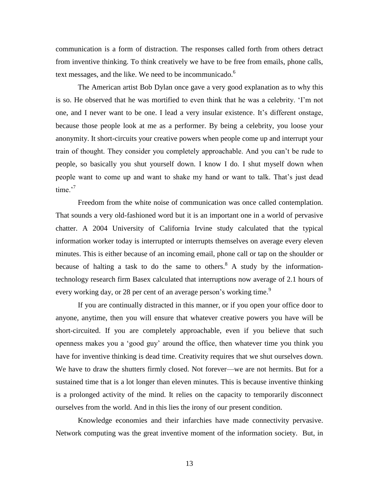communication is a form of distraction. The responses called forth from others detract from inventive thinking. To think creatively we have to be free from emails, phone calls, text messages, and the like. We need to be incommunicado.<sup>6</sup>

The American artist Bob Dylan once gave a very good explanation as to why this is so. He observed that he was mortified to even think that he was a celebrity. 'I'm not one, and I never want to be one. I lead a very insular existence. It's different onstage, because those people look at me as a performer. By being a celebrity, you loose your anonymity. It short-circuits your creative powers when people come up and interrupt your train of thought. They consider you completely approachable. And you can't be rude to people, so basically you shut yourself down. I know I do. I shut myself down when people want to come up and want to shake my hand or want to talk. That's just dead time $^{7}$ 

Freedom from the white noise of communication was once called contemplation. That sounds a very old-fashioned word but it is an important one in a world of pervasive chatter. A 2004 University of California Irvine study calculated that the typical information worker today is interrupted or interrupts themselves on average every eleven minutes. This is either because of an incoming email, phone call or tap on the shoulder or because of halting a task to do the same to others.<sup>8</sup> A study by the informationtechnology research firm Basex calculated that interruptions now average of 2.1 hours of every working day, or 28 per cent of an average person's working time.<sup>9</sup>

If you are continually distracted in this manner, or if you open your office door to anyone, anytime, then you will ensure that whatever creative powers you have will be short-circuited. If you are completely approachable, even if you believe that such openness makes you a 'good guy' around the office, then whatever time you think you have for inventive thinking is dead time. Creativity requires that we shut ourselves down. We have to draw the shutters firmly closed. Not forever—we are not hermits. But for a sustained time that is a lot longer than eleven minutes. This is because inventive thinking is a prolonged activity of the mind. It relies on the capacity to temporarily disconnect ourselves from the world. And in this lies the irony of our present condition.

Knowledge economies and their infarchies have made connectivity pervasive. Network computing was the great inventive moment of the information society. But, in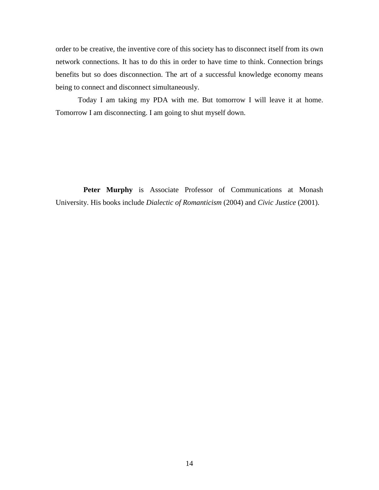order to be creative, the inventive core of this society has to disconnect itself from its own network connections. It has to do this in order to have time to think. Connection brings benefits but so does disconnection. The art of a successful knowledge economy means being to connect and disconnect simultaneously.

Today I am taking my PDA with me. But tomorrow I will leave it at home. Tomorrow I am disconnecting. I am going to shut myself down.

 **Peter Murphy** is Associate Professor of Communications at Monash University. His books include *Dialectic of Romanticism* (2004) and *Civic Justice* (2001).